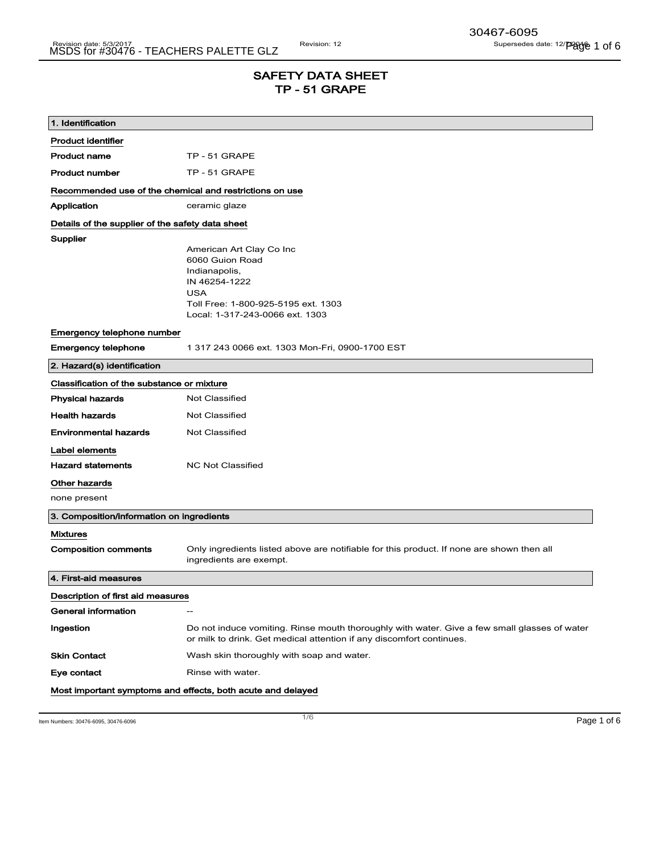# SAFETY DATA SHEET TP - 51 GRAPE

| 1. Identification                                       |                                                                                                                                                                       |  |
|---------------------------------------------------------|-----------------------------------------------------------------------------------------------------------------------------------------------------------------------|--|
| <b>Product identifier</b>                               |                                                                                                                                                                       |  |
| <b>Product name</b>                                     | TP - 51 GRAPE                                                                                                                                                         |  |
| <b>Product number</b>                                   | TP - 51 GRAPE                                                                                                                                                         |  |
| Recommended use of the chemical and restrictions on use |                                                                                                                                                                       |  |
| Application                                             | ceramic glaze                                                                                                                                                         |  |
| Details of the supplier of the safety data sheet        |                                                                                                                                                                       |  |
| Supplier                                                | American Art Clay Co Inc<br>6060 Guion Road<br>Indianapolis,<br>IN 46254-1222<br><b>USA</b><br>Toll Free: 1-800-925-5195 ext. 1303<br>Local: 1-317-243-0066 ext. 1303 |  |
| Emergency telephone number                              |                                                                                                                                                                       |  |
| <b>Emergency telephone</b>                              | 1 317 243 0066 ext. 1303 Mon-Fri, 0900-1700 EST                                                                                                                       |  |
| 2. Hazard(s) identification                             |                                                                                                                                                                       |  |
| Classification of the substance or mixture              |                                                                                                                                                                       |  |
| <b>Physical hazards</b>                                 | Not Classified                                                                                                                                                        |  |
| <b>Health hazards</b>                                   | <b>Not Classified</b>                                                                                                                                                 |  |
| <b>Environmental hazards</b>                            | Not Classified                                                                                                                                                        |  |
| Label elements                                          |                                                                                                                                                                       |  |
| <b>Hazard statements</b>                                | <b>NC Not Classified</b>                                                                                                                                              |  |
| Other hazards                                           |                                                                                                                                                                       |  |
| none present                                            |                                                                                                                                                                       |  |
| 3. Composition/information on ingredients               |                                                                                                                                                                       |  |
| <b>Mixtures</b>                                         |                                                                                                                                                                       |  |
| <b>Composition comments</b>                             | Only ingredients listed above are notifiable for this product. If none are shown then all<br>ingredients are exempt.                                                  |  |
| 4. First-aid measures                                   |                                                                                                                                                                       |  |
| Description of first aid measures                       |                                                                                                                                                                       |  |
| General information                                     | $-$                                                                                                                                                                   |  |
| Ingestion                                               | Do not induce vomiting. Rinse mouth thoroughly with water. Give a few small glasses of water<br>or milk to drink. Get medical attention if any discomfort continues.  |  |
| <b>Skin Contact</b>                                     | Wash skin thoroughly with soap and water.                                                                                                                             |  |
| Eye contact                                             | Rinse with water.                                                                                                                                                     |  |
|                                                         | Most important symptoms and effects, both acute and delayed                                                                                                           |  |

Item Numbers: 30476-6095, 30476-6096  $\blacksquare$   $\blacksquare$   $\blacksquare$   $\blacksquare$   $\blacksquare$   $\blacksquare$   $\blacksquare$   $\blacksquare$   $\blacksquare$   $\blacksquare$   $\blacksquare$   $\blacksquare$   $\blacksquare$   $\blacksquare$   $\blacksquare$   $\blacksquare$   $\blacksquare$   $\blacksquare$   $\blacksquare$   $\blacksquare$   $\blacksquare$   $\blacksquare$   $\blacksquare$   $\blacksquare$   $\blacksquare$   $\blacksquare$   $\$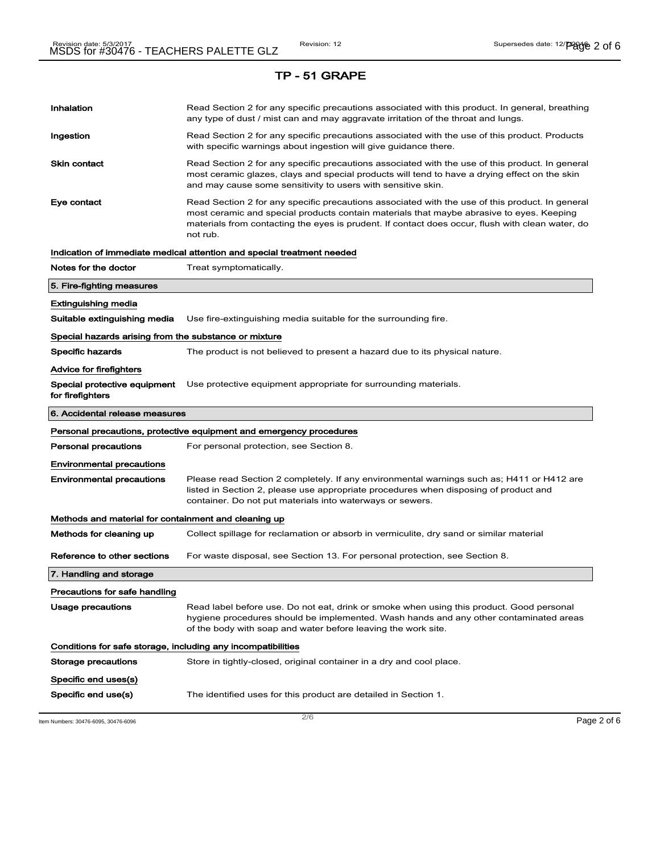| Inhalation                                                   | Read Section 2 for any specific precautions associated with this product. In general, breathing<br>any type of dust / mist can and may aggravate irritation of the throat and lungs.                                                                                                                        |  |  |
|--------------------------------------------------------------|-------------------------------------------------------------------------------------------------------------------------------------------------------------------------------------------------------------------------------------------------------------------------------------------------------------|--|--|
| Ingestion                                                    | Read Section 2 for any specific precautions associated with the use of this product. Products<br>with specific warnings about ingestion will give guidance there.                                                                                                                                           |  |  |
| Skin contact                                                 | Read Section 2 for any specific precautions associated with the use of this product. In general<br>most ceramic glazes, clays and special products will tend to have a drying effect on the skin<br>and may cause some sensitivity to users with sensitive skin.                                            |  |  |
| Eye contact                                                  | Read Section 2 for any specific precautions associated with the use of this product. In general<br>most ceramic and special products contain materials that maybe abrasive to eyes. Keeping<br>materials from contacting the eyes is prudent. If contact does occur, flush with clean water, do<br>not rub. |  |  |
|                                                              | Indication of immediate medical attention and special treatment needed                                                                                                                                                                                                                                      |  |  |
| Notes for the doctor                                         | Treat symptomatically.                                                                                                                                                                                                                                                                                      |  |  |
| 5. Fire-fighting measures                                    |                                                                                                                                                                                                                                                                                                             |  |  |
| <b>Extinguishing media</b>                                   |                                                                                                                                                                                                                                                                                                             |  |  |
| Suitable extinguishing media                                 | Use fire-extinguishing media suitable for the surrounding fire.                                                                                                                                                                                                                                             |  |  |
| Special hazards arising from the substance or mixture        |                                                                                                                                                                                                                                                                                                             |  |  |
| <b>Specific hazards</b>                                      | The product is not believed to present a hazard due to its physical nature.                                                                                                                                                                                                                                 |  |  |
| Advice for firefighters                                      |                                                                                                                                                                                                                                                                                                             |  |  |
| Special protective equipment<br>for firefighters             | Use protective equipment appropriate for surrounding materials.                                                                                                                                                                                                                                             |  |  |
| 6. Accidental release measures                               |                                                                                                                                                                                                                                                                                                             |  |  |
|                                                              |                                                                                                                                                                                                                                                                                                             |  |  |
|                                                              | Personal precautions, protective equipment and emergency procedures                                                                                                                                                                                                                                         |  |  |
| <b>Personal precautions</b>                                  | For personal protection, see Section 8.                                                                                                                                                                                                                                                                     |  |  |
| <b>Environmental precautions</b>                             |                                                                                                                                                                                                                                                                                                             |  |  |
| <b>Environmental precautions</b>                             | Please read Section 2 completely. If any environmental warnings such as; H411 or H412 are<br>listed in Section 2, please use appropriate procedures when disposing of product and<br>container. Do not put materials into waterways or sewers.                                                              |  |  |
| Methods and material for containment and cleaning up         |                                                                                                                                                                                                                                                                                                             |  |  |
| Methods for cleaning up                                      | Collect spillage for reclamation or absorb in vermiculite, dry sand or similar material                                                                                                                                                                                                                     |  |  |
| Reference to other sections                                  | For waste disposal, see Section 13. For personal protection, see Section 8.                                                                                                                                                                                                                                 |  |  |
| 7. Handling and storage                                      |                                                                                                                                                                                                                                                                                                             |  |  |
| Precautions for safe handling                                |                                                                                                                                                                                                                                                                                                             |  |  |
| <b>Usage precautions</b>                                     | Read label before use. Do not eat, drink or smoke when using this product. Good personal<br>hygiene procedures should be implemented. Wash hands and any other contaminated areas<br>of the body with soap and water before leaving the work site.                                                          |  |  |
| Conditions for safe storage, including any incompatibilities |                                                                                                                                                                                                                                                                                                             |  |  |
| Storage precautions                                          | Store in tightly-closed, original container in a dry and cool place.                                                                                                                                                                                                                                        |  |  |
| Specific end uses(s)                                         |                                                                                                                                                                                                                                                                                                             |  |  |

 $\frac{1}{2}$  Item Numbers: 30476-6095, 30476-6096 **Page 2 of 6**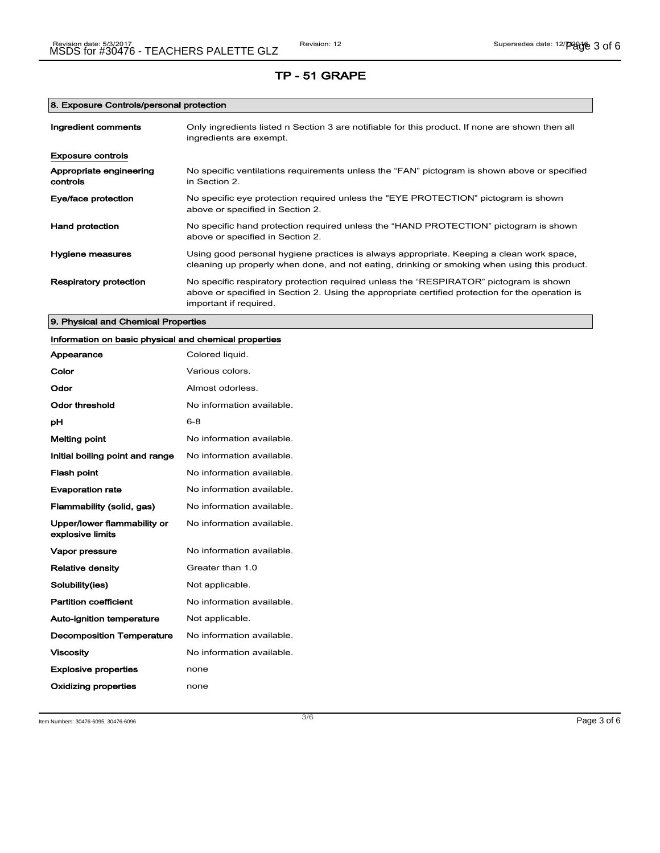# 8. Exposure Controls/personal protection

| Ingredient comments                 | Only ingredients listed n Section 3 are notifiable for this product. If none are shown then all<br>ingredients are exempt.                                                                                           |
|-------------------------------------|----------------------------------------------------------------------------------------------------------------------------------------------------------------------------------------------------------------------|
| <b>Exposure controls</b>            |                                                                                                                                                                                                                      |
| Appropriate engineering<br>controls | No specific ventilations requirements unless the "FAN" pictogram is shown above or specified<br>in Section 2.                                                                                                        |
| Eye/face protection                 | No specific eye protection required unless the "EYE PROTECTION" pictogram is shown<br>above or specified in Section 2.                                                                                               |
| Hand protection                     | No specific hand protection required unless the "HAND PROTECTION" pictogram is shown<br>above or specified in Section 2.                                                                                             |
| Hygiene measures                    | Using good personal hygiene practices is always appropriate. Keeping a clean work space,<br>cleaning up properly when done, and not eating, drinking or smoking when using this product.                             |
| <b>Respiratory protection</b>       | No specific respiratory protection required unless the "RESPIRATOR" pictogram is shown<br>above or specified in Section 2. Using the appropriate certified protection for the operation is<br>important if required. |

# 9. Physical and Chemical Properties

| Information on basic physical and chemical properties |                           |
|-------------------------------------------------------|---------------------------|
| Appearance                                            | Colored liquid.           |
| Color                                                 | Various colors.           |
| Odor                                                  | Almost odorless.          |
| <b>Odor threshold</b>                                 | No information available. |
| рH                                                    | $6 - 8$                   |
| <b>Melting point</b>                                  | No information available. |
| Initial boiling point and range                       | No information available. |
| <b>Flash point</b>                                    | No information available. |
| <b>Evaporation rate</b>                               | No information available. |
| Flammability (solid, gas)                             | No information available. |
| Upper/lower flammability or<br>explosive limits       | No information available. |
| Vapor pressure                                        | No information available. |
| <b>Relative density</b>                               | Greater than 1.0          |
| Solubility(ies)                                       | Not applicable.           |
| <b>Partition coefficient</b>                          | No information available. |
| Auto-ignition temperature                             | Not applicable.           |
| <b>Decomposition Temperature</b>                      | No information available. |
| <b>Viscosity</b>                                      | No information available. |
| <b>Explosive properties</b>                           | none                      |
| Oxidizing properties                                  | none                      |

Item Numbers: 30476-6095, 30476-6096  $\,$  Page 3 of 6  $\,$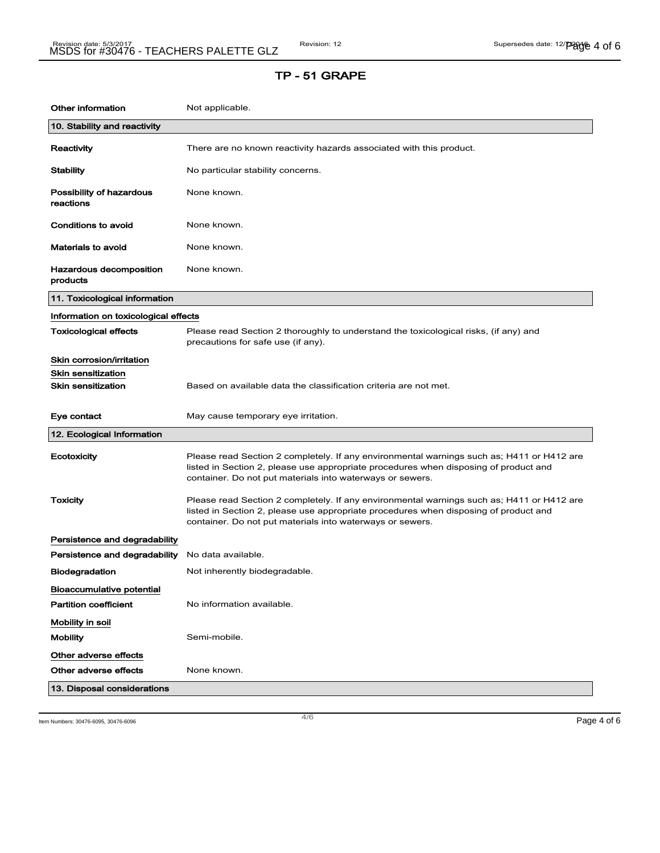| <b>Other information</b>              | Not applicable.                                                                                                                                                                                                                                |
|---------------------------------------|------------------------------------------------------------------------------------------------------------------------------------------------------------------------------------------------------------------------------------------------|
| 10. Stability and reactivity          |                                                                                                                                                                                                                                                |
| Reactivity                            | There are no known reactivity hazards associated with this product.                                                                                                                                                                            |
| <b>Stability</b>                      | No particular stability concerns.                                                                                                                                                                                                              |
| Possibility of hazardous<br>reactions | None known.                                                                                                                                                                                                                                    |
| Conditions to avoid                   | None known.                                                                                                                                                                                                                                    |
| <b>Materials to avoid</b>             | None known.                                                                                                                                                                                                                                    |
| Hazardous decomposition<br>products   | None known.                                                                                                                                                                                                                                    |
| 11. Toxicological information         |                                                                                                                                                                                                                                                |
| Information on toxicological effects  |                                                                                                                                                                                                                                                |
| <b>Toxicological effects</b>          | Please read Section 2 thoroughly to understand the toxicological risks, (if any) and<br>precautions for safe use (if any).                                                                                                                     |
| Skin corrosion/irritation             |                                                                                                                                                                                                                                                |
| <b>Skin sensitization</b>             |                                                                                                                                                                                                                                                |
| Skin sensitization                    | Based on available data the classification criteria are not met.                                                                                                                                                                               |
| Eye contact                           | May cause temporary eye irritation.                                                                                                                                                                                                            |
| 12. Ecological Information            |                                                                                                                                                                                                                                                |
| Ecotoxicity                           | Please read Section 2 completely. If any environmental warnings such as; H411 or H412 are<br>listed in Section 2, please use appropriate procedures when disposing of product and<br>container. Do not put materials into waterways or sewers. |
| <b>Toxicity</b>                       | Please read Section 2 completely. If any environmental warnings such as; H411 or H412 are<br>listed in Section 2, please use appropriate procedures when disposing of product and<br>container. Do not put materials into waterways or sewers. |
| Persistence and degradability         |                                                                                                                                                                                                                                                |
| Persistence and degradability         | No data available.                                                                                                                                                                                                                             |
| <b>Biodegradation</b>                 | Not inherently biodegradable.                                                                                                                                                                                                                  |
| Bioaccumulative potential             |                                                                                                                                                                                                                                                |
| <b>Partition coefficient</b>          | No information available.                                                                                                                                                                                                                      |
| Mobility in soil                      |                                                                                                                                                                                                                                                |
| <b>Mobility</b>                       | Semi-mobile.                                                                                                                                                                                                                                   |
| Other adverse effects                 |                                                                                                                                                                                                                                                |
| Other adverse effects                 | None known.                                                                                                                                                                                                                                    |
|                                       |                                                                                                                                                                                                                                                |

Item Numbers: 30476-6095, 30476-6096 Page 4 of 6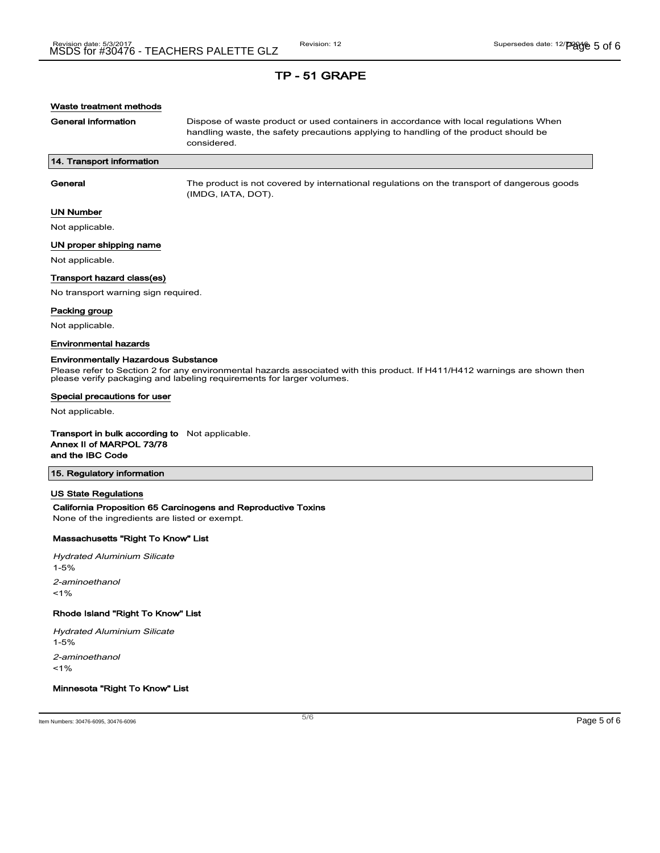## Waste treatment methods

General information **Dispose of waste product or used containers in accordance with local regulations When** handling waste, the safety precautions applying to handling of the product should be considered.

## 14. Transport information

General The product is not covered by international regulations on the transport of dangerous goods (IMDG, IATA, DOT).

### UN Number

Not applicable.

#### UN proper shipping name

Not applicable.

#### Transport hazard class(es)

No transport warning sign required.

#### Packing group

Not applicable.

#### Environmental hazards

#### Environmentally Hazardous Substance

Please refer to Section 2 for any environmental hazards associated with this product. If H411/H412 warnings are shown then please verify packaging and labeling requirements for larger volumes.

#### Special precautions for user

Not applicable.

#### Transport in bulk according to Not applicable. Annex II of MARPOL 73/78

and the IBC Code

## 15. Regulatory information

#### US State Regulations

## California Proposition 65 Carcinogens and Reproductive Toxins

None of the ingredients are listed or exempt.

## Massachusetts "Right To Know" List

Hydrated Aluminium Silicate 1-5% 2-aminoethanol  $1%$ 

#### Rhode Island "Right To Know" List

Hydrated Aluminium Silicate

1-5%

2-aminoethanol

 $1%$ 

# Minnesota "Right To Know" List